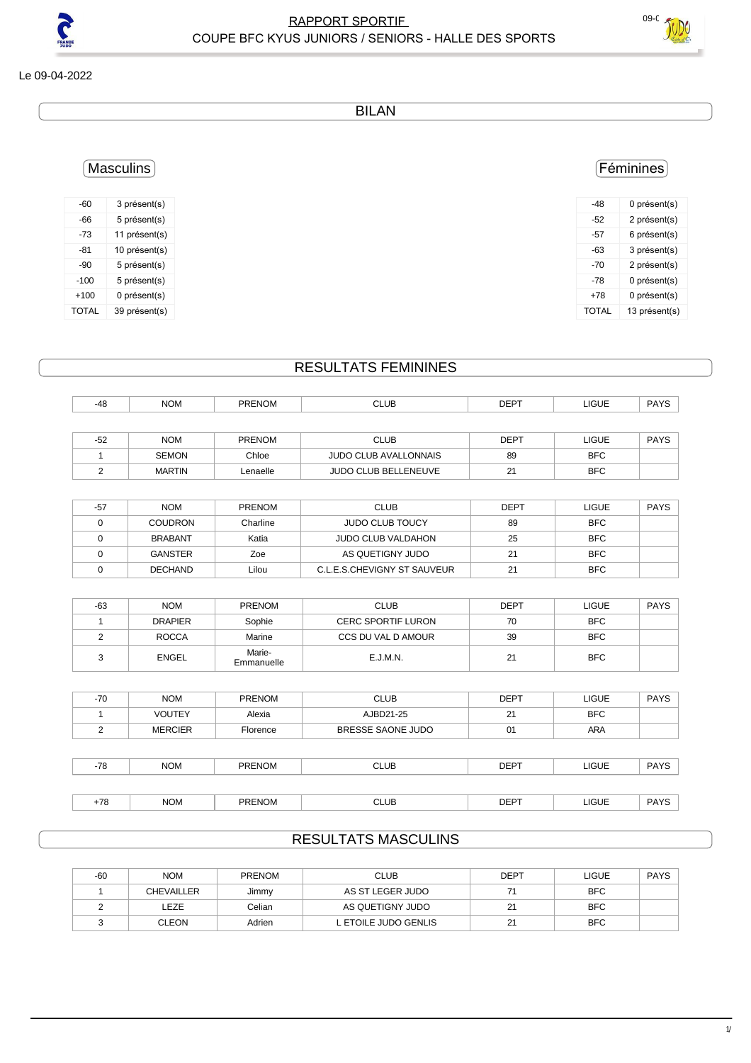

BILAN

## Féminines

| -48          | 0 présent(s)  |
|--------------|---------------|
| -52          | 2 présent(s)  |
| -57          | 6 présent(s)  |
| -63          | 3 présent(s)  |
| -70          | 2 présent(s)  |
| -78          | 0 présent(s)  |
| +78          | 0 présent(s)  |
| <b>TOTAL</b> | 13 présent(s) |

### Masculins

| $-60$        | 3 présent(s)  |
|--------------|---------------|
| -66          | 5 présent(s)  |
| -73          | 11 présent(s) |
| -81          | 10 présent(s) |
| $-90$        | 5 présent(s)  |
| $-100$       | 5 présent(s)  |
| $+100$       | 0 présent(s)  |
| <b>TOTAL</b> | 39 présent(s) |

#### RESULTATS FEMININES

| -48   | <b>NOM</b>    | <b>PRENOM</b> | <b>CLUB</b>                  | <b>DEPT</b> | LIGUE      | <b>PAYS</b> |
|-------|---------------|---------------|------------------------------|-------------|------------|-------------|
|       |               |               |                              |             |            |             |
| $-52$ | <b>NOM</b>    | <b>PRENOM</b> | <b>CLUB</b>                  | <b>DEPT</b> | LIGUE      | <b>PAYS</b> |
|       | <b>SEMON</b>  | Chloe         | <b>JUDO CLUB AVALLONNAIS</b> | 89          | <b>BFC</b> |             |
|       | <b>MARTIN</b> | Lenaelle      | <b>JUDO CLUB BELLENEUVE</b>  | 21          | <b>BFC</b> |             |

| -57 | <b>NOM</b>     | <b>PRENOM</b> | <b>CLUB</b>                 | <b>DEPT</b> | LIGUE      | <b>PAYS</b> |
|-----|----------------|---------------|-----------------------------|-------------|------------|-------------|
|     | <b>COUDRON</b> | Charline      | <b>JUDO CLUB TOUCY</b>      | 89          | <b>BFC</b> |             |
|     | <b>BRABANT</b> | Katia         | <b>JUDO CLUB VALDAHON</b>   | 25          | <b>BFC</b> |             |
|     | GANSTER        | Zoe           | AS QUETIGNY JUDO            | 21          | <b>BFC</b> |             |
|     | <b>DECHAND</b> | Lilou         | C.L.E.S.CHEVIGNY ST SAUVEUR | 21          | <b>BFC</b> |             |

| $-63$ | <b>NOM</b>     | <b>PRENOM</b>        | <b>CLUB</b>               | <b>DEPT</b> | LIGUE      | <b>PAYS</b> |
|-------|----------------|----------------------|---------------------------|-------------|------------|-------------|
|       | <b>DRAPIER</b> | Sophie               | <b>CERC SPORTIF LURON</b> | 70          | <b>BFC</b> |             |
|       | <b>ROCCA</b>   | Marine               | CCS DU VAL D AMOUR        | 39          | <b>BFC</b> |             |
|       | <b>ENGEL</b>   | Marie-<br>Emmanuelle | E.J.M.N.                  | 21          | <b>BFC</b> |             |

| $-70$<br><b>NOM</b><br><b>CLUB</b><br><b>PRENOM</b>              | <b>DEPT</b> | <b>LIGUE</b> | <b>PAYS</b> |
|------------------------------------------------------------------|-------------|--------------|-------------|
|                                                                  |             |              |             |
| Alexia<br><b>VOUTEY</b><br>AJBD21-25                             | 21          | <b>BFC</b>   |             |
| <b>MERCIER</b><br>BRESSE SAONE JUDO<br>C<br>Florence<br><u>_</u> | 01          | <b>ARA</b>   |             |
|                                                                  |             |              |             |
| <b>NOM</b><br><b>PRENOM</b><br><b>CLUB</b><br>-78                | <b>DEPT</b> | <b>LIGUE</b> | <b>PAYS</b> |
|                                                                  |             |              |             |

| <b>DAVC</b><br><b>NOM</b><br>LIGUE<br>DEF<br>PRENOM<br>$\overline{\phantom{a}}$<br><b>AIL</b><br>۰، د<br><b>JLUL</b><br>$ -$<br>___ |
|-------------------------------------------------------------------------------------------------------------------------------------|
|-------------------------------------------------------------------------------------------------------------------------------------|

#### RESULTATS MASCULINS

| $-60$ | <b>NOM</b>        | <b>PRENOM</b> | <b>CLUB</b>          | DEPT | LIGUE      | <b>PAYS</b> |
|-------|-------------------|---------------|----------------------|------|------------|-------------|
|       | <b>CHEVAILLER</b> | Jimmy         | AS ST LEGER JUDO     |      | <b>BFC</b> |             |
|       | _EZE              | Celian        | AS QUETIGNY JUDO     | 21   | <b>BFC</b> |             |
|       | <b>CLEON</b>      | Adrien        | L ETOILE JUDO GENLIS | 21   | <b>BFC</b> |             |